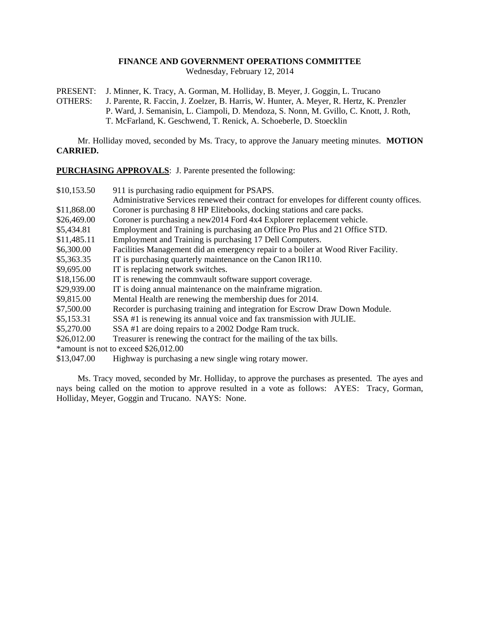## **FINANCE AND GOVERNMENT OPERATIONS COMMITTEE**

Wednesday, February 12, 2014

PRESENT: J. Minner, K. Tracy, A. Gorman, M. Holliday, B. Meyer, J. Goggin, L. Trucano

OTHERS: J. Parente, R. Faccin, J. Zoelzer, B. Harris, W. Hunter, A. Meyer, R. Hertz, K. Prenzler P. Ward, J. Semanisin, L. Ciampoli, D. Mendoza, S. Nonn, M. Gvillo, C. Knott, J. Roth, T. McFarland, K. Geschwend, T. Renick, A. Schoeberle, D. Stoecklin

Mr. Holliday moved, seconded by Ms. Tracy, to approve the January meeting minutes. **MOTION CARRIED.**

**PURCHASING APPROVALS**: J. Parente presented the following:

| \$10,153.50 | 911 is purchasing radio equipment for PSAPS.                                               |
|-------------|--------------------------------------------------------------------------------------------|
|             | Administrative Services renewed their contract for envelopes for different county offices. |
| \$11,868.00 | Coroner is purchasing 8 HP Elitebooks, docking stations and care packs.                    |
| \$26,469.00 | Coroner is purchasing a new 2014 Ford 4x4 Explorer replacement vehicle.                    |
| \$5,434.81  | Employment and Training is purchasing an Office Pro Plus and 21 Office STD.                |
| \$11,485.11 | Employment and Training is purchasing 17 Dell Computers.                                   |
| \$6,300.00  | Facilities Management did an emergency repair to a boiler at Wood River Facility.          |
| \$5,363.35  | IT is purchasing quarterly maintenance on the Canon IR110.                                 |
| \$9,695.00  | IT is replacing network switches.                                                          |
| \$18,156.00 | IT is renewing the commvault software support coverage.                                    |
| \$29,939.00 | IT is doing annual maintenance on the mainframe migration.                                 |
| \$9,815.00  | Mental Health are renewing the membership dues for 2014.                                   |
| \$7,500.00  | Recorder is purchasing training and integration for Escrow Draw Down Module.               |
| \$5,153.31  | SSA #1 is renewing its annual voice and fax transmission with JULIE.                       |
| \$5,270.00  | SSA #1 are doing repairs to a 2002 Dodge Ram truck.                                        |
| \$26,012.00 | Treasurer is renewing the contract for the mailing of the tax bills.                       |
|             | *amount is not to exceed \$26,012.00                                                       |
| \$13,047.00 | Highway is purchasing a new single wing rotary mower.                                      |

Ms. Tracy moved, seconded by Mr. Holliday, to approve the purchases as presented. The ayes and nays being called on the motion to approve resulted in a vote as follows: AYES: Tracy, Gorman, Holliday, Meyer, Goggin and Trucano. NAYS: None.